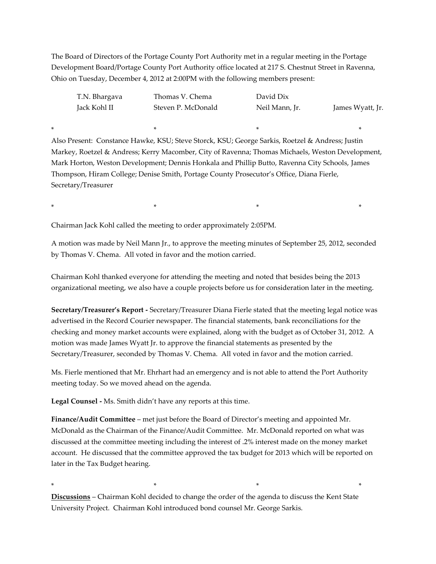The Board of Directors of the Portage County Port Authority met in a regular meeting in the Portage Development Board/Portage County Port Authority office located at 217 S. Chestnut Street in Ravenna, Ohio on Tuesday, December 4, 2012 at 2:00PM with the following members present:

| T.N. Bhargava | Thomas V. Chema    | David Dix      |                  |
|---------------|--------------------|----------------|------------------|
| Jack Kohl II  | Steven P. McDonald | Neil Mann, Jr. | James Wyatt, Jr. |

Also Present: Constance Hawke, KSU; Steve Storck, KSU; George Sarkis, Roetzel & Andress; Justin Markey, Roetzel & Andress; Kerry Macomber, City of Ravenna; Thomas Michaels, Weston Development, Mark Horton, Weston Development; Dennis Honkala and Phillip Butto, Ravenna City Schools, James Thompson, Hiram College; Denise Smith, Portage County Prosecutor's Office, Diana Fierle, Secretary/Treasurer

\* \* \* \*

\* \* \* \*

Chairman Jack Kohl called the meeting to order approximately 2:05PM.

A motion was made by Neil Mann Jr., to approve the meeting minutes of September 25, 2012, seconded by Thomas V. Chema. All voted in favor and the motion carried.

Chairman Kohl thanked everyone for attending the meeting and noted that besides being the 2013 organizational meeting, we also have a couple projects before us for consideration later in the meeting.

**Secretary/Treasurer's Report -** Secretary/Treasurer Diana Fierle stated that the meeting legal notice was advertised in the Record Courier newspaper. The financial statements, bank reconciliations for the checking and money market accounts were explained, along with the budget as of October 31, 2012. A motion was made James Wyatt Jr. to approve the financial statements as presented by the Secretary/Treasurer, seconded by Thomas V. Chema. All voted in favor and the motion carried.

Ms. Fierle mentioned that Mr. Ehrhart had an emergency and is not able to attend the Port Authority meeting today. So we moved ahead on the agenda.

**Legal Counsel -** Ms. Smith didn't have any reports at this time.

**Finance/Audit Committee** – met just before the Board of Director's meeting and appointed Mr. McDonald as the Chairman of the Finance/Audit Committee. Mr. McDonald reported on what was discussed at the committee meeting including the interest of .2% interest made on the money market account. He discussed that the committee approved the tax budget for 2013 which will be reported on later in the Tax Budget hearing.

**Discussions** – Chairman Kohl decided to change the order of the agenda to discuss the Kent State University Project. Chairman Kohl introduced bond counsel Mr. George Sarkis.

\* \* \* \*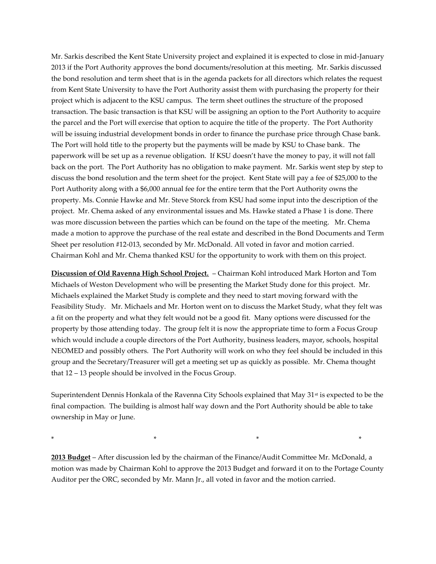Mr. Sarkis described the Kent State University project and explained it is expected to close in mid-January 2013 if the Port Authority approves the bond documents/resolution at this meeting. Mr. Sarkis discussed the bond resolution and term sheet that is in the agenda packets for all directors which relates the request from Kent State University to have the Port Authority assist them with purchasing the property for their project which is adjacent to the KSU campus. The term sheet outlines the structure of the proposed transaction. The basic transaction is that KSU will be assigning an option to the Port Authority to acquire the parcel and the Port will exercise that option to acquire the title of the property. The Port Authority will be issuing industrial development bonds in order to finance the purchase price through Chase bank. The Port will hold title to the property but the payments will be made by KSU to Chase bank. The paperwork will be set up as a revenue obligation. If KSU doesn't have the money to pay, it will not fall back on the port. The Port Authority has no obligation to make payment. Mr. Sarkis went step by step to discuss the bond resolution and the term sheet for the project. Kent State will pay a fee of \$25,000 to the Port Authority along with a \$6,000 annual fee for the entire term that the Port Authority owns the property. Ms. Connie Hawke and Mr. Steve Storck from KSU had some input into the description of the project. Mr. Chema asked of any environmental issues and Ms. Hawke stated a Phase 1 is done. There was more discussion between the parties which can be found on the tape of the meeting. Mr. Chema made a motion to approve the purchase of the real estate and described in the Bond Documents and Term Sheet per resolution #12-013, seconded by Mr. McDonald. All voted in favor and motion carried. Chairman Kohl and Mr. Chema thanked KSU for the opportunity to work with them on this project.

**Discussion of Old Ravenna High School Project.** – Chairman Kohl introduced Mark Horton and Tom Michaels of Weston Development who will be presenting the Market Study done for this project. Mr. Michaels explained the Market Study is complete and they need to start moving forward with the Feasibility Study. Mr. Michaels and Mr. Horton went on to discuss the Market Study, what they felt was a fit on the property and what they felt would not be a good fit. Many options were discussed for the property by those attending today. The group felt it is now the appropriate time to form a Focus Group which would include a couple directors of the Port Authority, business leaders, mayor, schools, hospital NEOMED and possibly others. The Port Authority will work on who they feel should be included in this group and the Secretary/Treasurer will get a meeting set up as quickly as possible. Mr. Chema thought that 12 – 13 people should be involved in the Focus Group.

Superintendent Dennis Honkala of the Ravenna City Schools explained that May 31<sup>st</sup> is expected to be the final compaction. The building is almost half way down and the Port Authority should be able to take ownership in May or June.

\* \* \* \*

**2013 Budget** – After discussion led by the chairman of the Finance/Audit Committee Mr. McDonald, a motion was made by Chairman Kohl to approve the 2013 Budget and forward it on to the Portage County Auditor per the ORC, seconded by Mr. Mann Jr., all voted in favor and the motion carried.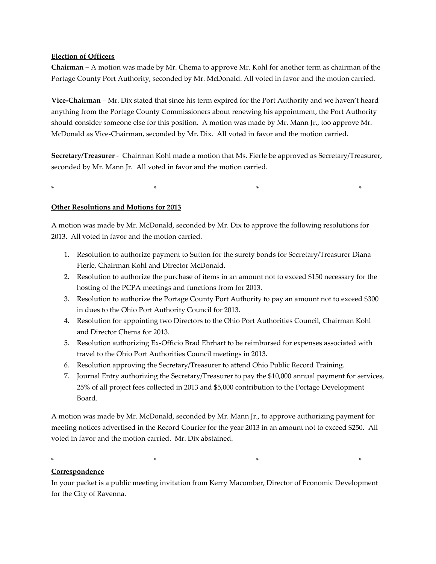### **Election of Officers**

**Chairman –** A motion was made by Mr. Chema to approve Mr. Kohl for another term as chairman of the Portage County Port Authority, seconded by Mr. McDonald. All voted in favor and the motion carried.

**Vice-Chairman** – Mr. Dix stated that since his term expired for the Port Authority and we haven't heard anything from the Portage County Commissioners about renewing his appointment, the Port Authority should consider someone else for this position. A motion was made by Mr. Mann Jr., too approve Mr. McDonald as Vice-Chairman, seconded by Mr. Dix. All voted in favor and the motion carried.

**Secretary/Treasurer** - Chairman Kohl made a motion that Ms. Fierle be approved as Secretary/Treasurer, seconded by Mr. Mann Jr. All voted in favor and the motion carried.

\* \* \* \*

## **Other Resolutions and Motions for 2013**

A motion was made by Mr. McDonald, seconded by Mr. Dix to approve the following resolutions for 2013. All voted in favor and the motion carried.

- 1. Resolution to authorize payment to Sutton for the surety bonds for Secretary/Treasurer Diana Fierle, Chairman Kohl and Director McDonald.
- 2. Resolution to authorize the purchase of items in an amount not to exceed \$150 necessary for the hosting of the PCPA meetings and functions from for 2013.
- 3. Resolution to authorize the Portage County Port Authority to pay an amount not to exceed \$300 in dues to the Ohio Port Authority Council for 2013.
- 4. Resolution for appointing two Directors to the Ohio Port Authorities Council, Chairman Kohl and Director Chema for 2013.
- 5. Resolution authorizing Ex-Officio Brad Ehrhart to be reimbursed for expenses associated with travel to the Ohio Port Authorities Council meetings in 2013.
- 6. Resolution approving the Secretary/Treasurer to attend Ohio Public Record Training.
- 7. Journal Entry authorizing the Secretary/Treasurer to pay the \$10,000 annual payment for services, 25% of all project fees collected in 2013 and \$5,000 contribution to the Portage Development Board.

A motion was made by Mr. McDonald, seconded by Mr. Mann Jr., to approve authorizing payment for meeting notices advertised in the Record Courier for the year 2013 in an amount not to exceed \$250. All voted in favor and the motion carried. Mr. Dix abstained.

\* \* \* \*

### **Correspondence**

In your packet is a public meeting invitation from Kerry Macomber, Director of Economic Development for the City of Ravenna.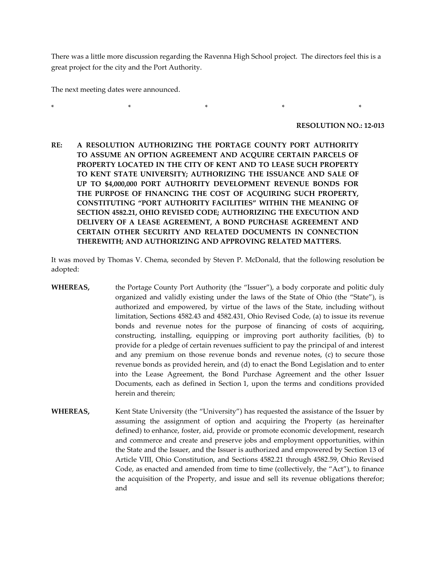There was a little more discussion regarding the Ravenna High School project. The directors feel this is a great project for the city and the Port Authority.

The next meeting dates were announced.

#### **RESOLUTION NO.: 12-013**

**RE: A RESOLUTION AUTHORIZING THE PORTAGE COUNTY PORT AUTHORITY TO ASSUME AN OPTION AGREEMENT AND ACQUIRE CERTAIN PARCELS OF PROPERTY LOCATED IN THE CITY OF KENT AND TO LEASE SUCH PROPERTY TO KENT STATE UNIVERSITY; AUTHORIZING THE ISSUANCE AND SALE OF UP TO \$4,000,000 PORT AUTHORITY DEVELOPMENT REVENUE BONDS FOR THE PURPOSE OF FINANCING THE COST OF ACQUIRING SUCH PROPERTY, CONSTITUTING "PORT AUTHORITY FACILITIES" WITHIN THE MEANING OF SECTION 4582.21, OHIO REVISED CODE; AUTHORIZING THE EXECUTION AND DELIVERY OF A LEASE AGREEMENT, A BOND PURCHASE AGREEMENT AND CERTAIN OTHER SECURITY AND RELATED DOCUMENTS IN CONNECTION THEREWITH; AND AUTHORIZING AND APPROVING RELATED MATTERS.**

\* \* \* \* \*

It was moved by Thomas V. Chema, seconded by Steven P. McDonald, that the following resolution be adopted:

- **WHEREAS,** the Portage County Port Authority (the "Issuer"), a body corporate and politic duly organized and validly existing under the laws of the State of Ohio (the "State"), is authorized and empowered, by virtue of the laws of the State, including without limitation, Sections 4582.43 and 4582.431, Ohio Revised Code, (a) to issue its revenue bonds and revenue notes for the purpose of financing of costs of acquiring, constructing, installing, equipping or improving port authority facilities, (b) to provide for a pledge of certain revenues sufficient to pay the principal of and interest and any premium on those revenue bonds and revenue notes, (c) to secure those revenue bonds as provided herein, and (d) to enact the Bond Legislation and to enter into the Lease Agreement, the Bond Purchase Agreement and the other Issuer Documents, each as defined in Section 1, upon the terms and conditions provided herein and therein;
- WHEREAS, Kent State University (the "University") has requested the assistance of the Issuer by assuming the assignment of option and acquiring the Property (as hereinafter defined) to enhance, foster, aid, provide or promote economic development, research and commerce and create and preserve jobs and employment opportunities, within the State and the Issuer, and the Issuer is authorized and empowered by Section 13 of Article VIII, Ohio Constitution, and Sections 4582.21 through 4582.59, Ohio Revised Code, as enacted and amended from time to time (collectively, the "Act"), to finance the acquisition of the Property, and issue and sell its revenue obligations therefor; and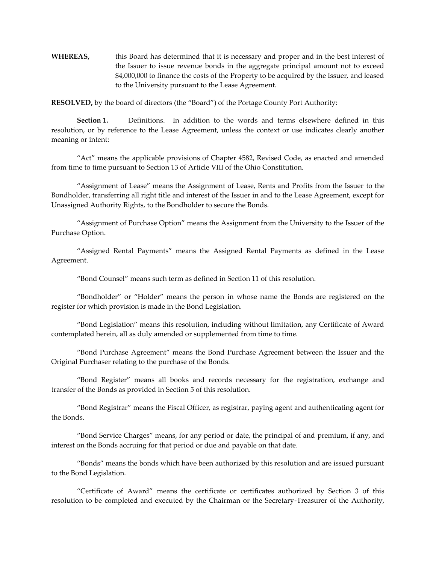**WHEREAS,** this Board has determined that it is necessary and proper and in the best interest of the Issuer to issue revenue bonds in the aggregate principal amount not to exceed \$4,000,000 to finance the costs of the Property to be acquired by the Issuer, and leased to the University pursuant to the Lease Agreement.

**RESOLVED,** by the board of directors (the "Board") of the Portage County Port Authority:

**Section 1.** Definitions. In addition to the words and terms elsewhere defined in this resolution, or by reference to the Lease Agreement, unless the context or use indicates clearly another meaning or intent:

"Act" means the applicable provisions of Chapter 4582, Revised Code, as enacted and amended from time to time pursuant to Section 13 of Article VIII of the Ohio Constitution.

"Assignment of Lease" means the Assignment of Lease, Rents and Profits from the Issuer to the Bondholder, transferring all right title and interest of the Issuer in and to the Lease Agreement, except for Unassigned Authority Rights, to the Bondholder to secure the Bonds.

"Assignment of Purchase Option" means the Assignment from the University to the Issuer of the Purchase Option.

"Assigned Rental Payments" means the Assigned Rental Payments as defined in the Lease Agreement.

"Bond Counsel" means such term as defined in Section 11 of this resolution.

"Bondholder" or "Holder" means the person in whose name the Bonds are registered on the register for which provision is made in the Bond Legislation.

"Bond Legislation" means this resolution, including without limitation, any Certificate of Award contemplated herein, all as duly amended or supplemented from time to time.

"Bond Purchase Agreement" means the Bond Purchase Agreement between the Issuer and the Original Purchaser relating to the purchase of the Bonds.

"Bond Register" means all books and records necessary for the registration, exchange and transfer of the Bonds as provided in Section 5 of this resolution.

"Bond Registrar" means the Fiscal Officer, as registrar, paying agent and authenticating agent for the Bonds.

"Bond Service Charges" means, for any period or date, the principal of and premium, if any, and interest on the Bonds accruing for that period or due and payable on that date.

"Bonds" means the bonds which have been authorized by this resolution and are issued pursuant to the Bond Legislation.

"Certificate of Award" means the certificate or certificates authorized by Section 3 of this resolution to be completed and executed by the Chairman or the Secretary-Treasurer of the Authority,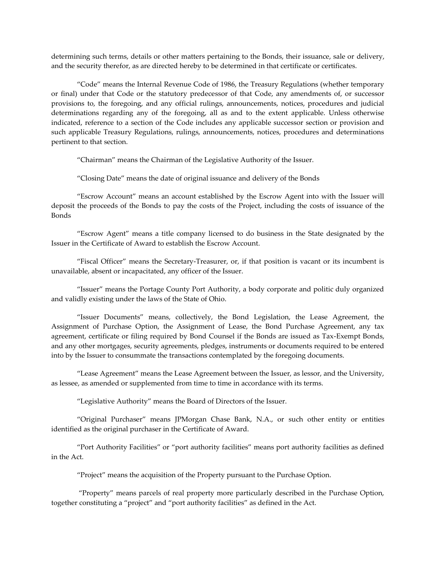determining such terms, details or other matters pertaining to the Bonds, their issuance, sale or delivery, and the security therefor, as are directed hereby to be determined in that certificate or certificates.

"Code" means the Internal Revenue Code of 1986, the Treasury Regulations (whether temporary or final) under that Code or the statutory predecessor of that Code, any amendments of, or successor provisions to, the foregoing, and any official rulings, announcements, notices, procedures and judicial determinations regarding any of the foregoing, all as and to the extent applicable. Unless otherwise indicated, reference to a section of the Code includes any applicable successor section or provision and such applicable Treasury Regulations, rulings, announcements, notices, procedures and determinations pertinent to that section.

"Chairman" means the Chairman of the Legislative Authority of the Issuer.

"Closing Date" means the date of original issuance and delivery of the Bonds

"Escrow Account" means an account established by the Escrow Agent into with the Issuer will deposit the proceeds of the Bonds to pay the costs of the Project, including the costs of issuance of the Bonds

"Escrow Agent" means a title company licensed to do business in the State designated by the Issuer in the Certificate of Award to establish the Escrow Account.

"Fiscal Officer" means the Secretary-Treasurer, or, if that position is vacant or its incumbent is unavailable, absent or incapacitated, any officer of the Issuer.

"Issuer" means the Portage County Port Authority, a body corporate and politic duly organized and validly existing under the laws of the State of Ohio.

"Issuer Documents" means, collectively, the Bond Legislation, the Lease Agreement, the Assignment of Purchase Option, the Assignment of Lease, the Bond Purchase Agreement, any tax agreement, certificate or filing required by Bond Counsel if the Bonds are issued as Tax-Exempt Bonds, and any other mortgages, security agreements, pledges, instruments or documents required to be entered into by the Issuer to consummate the transactions contemplated by the foregoing documents.

"Lease Agreement" means the Lease Agreement between the Issuer, as lessor, and the University, as lessee, as amended or supplemented from time to time in accordance with its terms.

"Legislative Authority" means the Board of Directors of the Issuer.

"Original Purchaser" means JPMorgan Chase Bank, N.A., or such other entity or entities identified as the original purchaser in the Certificate of Award.

"Port Authority Facilities" or "port authority facilities" means port authority facilities as defined in the Act.

"Project" means the acquisition of the Property pursuant to the Purchase Option.

"Property" means parcels of real property more particularly described in the Purchase Option, together constituting a "project" and "port authority facilities" as defined in the Act.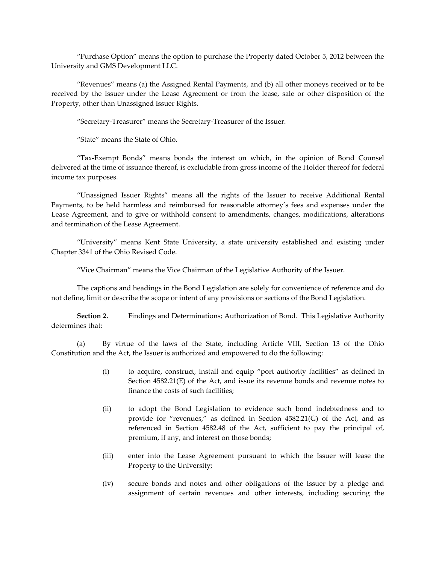"Purchase Option" means the option to purchase the Property dated October 5, 2012 between the University and GMS Development LLC.

"Revenues" means (a) the Assigned Rental Payments, and (b) all other moneys received or to be received by the Issuer under the Lease Agreement or from the lease, sale or other disposition of the Property, other than Unassigned Issuer Rights.

"Secretary-Treasurer" means the Secretary-Treasurer of the Issuer.

"State" means the State of Ohio.

"Tax-Exempt Bonds" means bonds the interest on which, in the opinion of Bond Counsel delivered at the time of issuance thereof, is excludable from gross income of the Holder thereof for federal income tax purposes.

"Unassigned Issuer Rights" means all the rights of the Issuer to receive Additional Rental Payments, to be held harmless and reimbursed for reasonable attorney's fees and expenses under the Lease Agreement, and to give or withhold consent to amendments, changes, modifications, alterations and termination of the Lease Agreement.

"University" means Kent State University, a state university established and existing under Chapter 3341 of the Ohio Revised Code.

"Vice Chairman" means the Vice Chairman of the Legislative Authority of the Issuer.

The captions and headings in the Bond Legislation are solely for convenience of reference and do not define, limit or describe the scope or intent of any provisions or sections of the Bond Legislation.

**Section 2.** Findings and Determinations; Authorization of Bond. This Legislative Authority determines that:

(a) By virtue of the laws of the State, including Article VIII, Section 13 of the Ohio Constitution and the Act, the Issuer is authorized and empowered to do the following:

- (i) to acquire, construct, install and equip "port authority facilities" as defined in Section 4582.21(E) of the Act, and issue its revenue bonds and revenue notes to finance the costs of such facilities;
- (ii) to adopt the Bond Legislation to evidence such bond indebtedness and to provide for "revenues," as defined in Section 4582.21(G) of the Act, and as referenced in Section 4582.48 of the Act, sufficient to pay the principal of, premium, if any, and interest on those bonds;
- (iii) enter into the Lease Agreement pursuant to which the Issuer will lease the Property to the University;
- (iv) secure bonds and notes and other obligations of the Issuer by a pledge and assignment of certain revenues and other interests, including securing the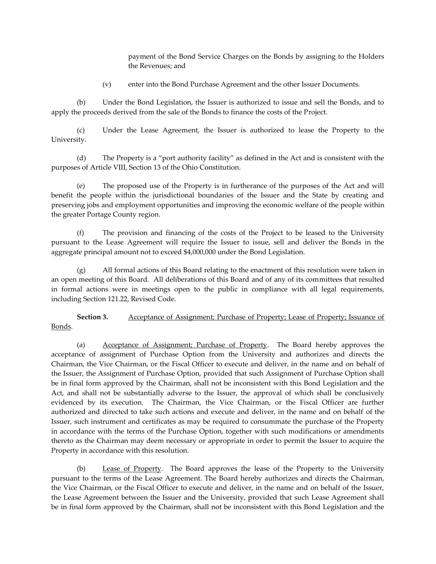payment of the Bond Service Charges on the Bonds by assigning to the Holders the Revenues; and

(v) enter into the Bond Purchase Agreement and the other Issuer Documents.

(b) Under the Bond Legislation, the Issuer is authorized to issue and sell the Bonds, and to apply the proceeds derived from the sale of the Bonds to finance the costs of the Project.

(c) Under the Lease Agreement, the Issuer is authorized to lease the Property to the University.

(d) The Property is a "port authority facility" as defined in the Act and is consistent with the purposes of Article VIII, Section 13 of the Ohio Constitution.

(e) The proposed use of the Property is in furtherance of the purposes of the Act and will benefit the people within the jurisdictional boundaries of the Issuer and the State by creating and preserving jobs and employment opportunities and improving the economic welfare of the people within the greater Portage County region.

(f) The provision and financing of the costs of the Project to be leased to the University pursuant to the Lease Agreement will require the Issuer to issue, sell and deliver the Bonds in the aggregate principal amount not to exceed \$4,000,000 under the Bond Legislation.

(g) All formal actions of this Board relating to the enactment of this resolution were taken in an open meeting of this Board. All deliberations of this Board and of any of its committees that resulted in formal actions were in meetings open to the public in compliance with all legal requirements, including Section 121.22, Revised Code.

Section 3. Acceptance of Assignment; Purchase of Property; Lease of Property; Issuance of Bonds.

(a) Acceptance of Assignment; Purchase of Property. The Board hereby approves the acceptance of assignment of Purchase Option from the University and authorizes and directs the Chairman, the Vice Chairman, or the Fiscal Officer to execute and deliver, in the name and on behalf of the Issuer, the Assignment of Purchase Option, provided that such Assignment of Purchase Option shall be in final form approved by the Chairman, shall not be inconsistent with this Bond Legislation and the Act, and shall not be substantially adverse to the Issuer, the approval of which shall be conclusively evidenced by its execution. The Chairman, the Vice Chairman, or the Fiscal Officer are further authorized and directed to take such actions and execute and deliver, in the name and on behalf of the Issuer, such instrument and certificates as may be required to consummate the purchase of the Property in accordance with the terms of the Purchase Option, together with such modifications or amendments thereto as the Chairman may deem necessary or appropriate in order to permit the Issuer to acquire the Property in accordance with this resolution.

(b) Lease of Property. The Board approves the lease of the Property to the University pursuant to the terms of the Lease Agreement. The Board hereby authorizes and directs the Chairman, the Vice Chairman, or the Fiscal Officer to execute and deliver, in the name and on behalf of the Issuer, the Lease Agreement between the Issuer and the University, provided that such Lease Agreement shall be in final form approved by the Chairman, shall not be inconsistent with this Bond Legislation and the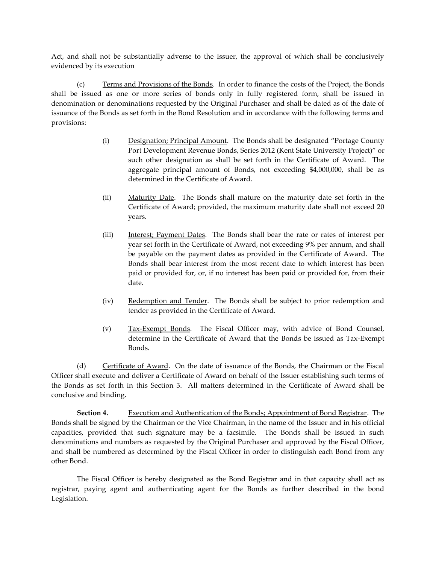Act, and shall not be substantially adverse to the Issuer, the approval of which shall be conclusively evidenced by its execution

(c) Terms and Provisions of the Bonds. In order to finance the costs of the Project, the Bonds shall be issued as one or more series of bonds only in fully registered form, shall be issued in denomination or denominations requested by the Original Purchaser and shall be dated as of the date of issuance of the Bonds as set forth in the Bond Resolution and in accordance with the following terms and provisions:

- (i) Designation; Principal Amount. The Bonds shall be designated "Portage County Port Development Revenue Bonds, Series 2012 (Kent State University Project)" or such other designation as shall be set forth in the Certificate of Award. The aggregate principal amount of Bonds, not exceeding \$4,000,000, shall be as determined in the Certificate of Award.
- (ii) Maturity Date. The Bonds shall mature on the maturity date set forth in the Certificate of Award; provided, the maximum maturity date shall not exceed 20 years.
- (iii) Interest; Payment Dates. The Bonds shall bear the rate or rates of interest per year set forth in the Certificate of Award, not exceeding 9% per annum, and shall be payable on the payment dates as provided in the Certificate of Award. The Bonds shall bear interest from the most recent date to which interest has been paid or provided for, or, if no interest has been paid or provided for, from their date.
- (iv) Redemption and Tender. The Bonds shall be subject to prior redemption and tender as provided in the Certificate of Award.
- (v) Tax-Exempt Bonds. The Fiscal Officer may, with advice of Bond Counsel, determine in the Certificate of Award that the Bonds be issued as Tax-Exempt Bonds.

(d) Certificate of Award. On the date of issuance of the Bonds, the Chairman or the Fiscal Officer shall execute and deliver a Certificate of Award on behalf of the Issuer establishing such terms of the Bonds as set forth in this Section 3. All matters determined in the Certificate of Award shall be conclusive and binding.

**Section 4.** Execution and Authentication of the Bonds; Appointment of Bond Registrar. The Bonds shall be signed by the Chairman or the Vice Chairman, in the name of the Issuer and in his official capacities, provided that such signature may be a facsimile. The Bonds shall be issued in such denominations and numbers as requested by the Original Purchaser and approved by the Fiscal Officer, and shall be numbered as determined by the Fiscal Officer in order to distinguish each Bond from any other Bond.

The Fiscal Officer is hereby designated as the Bond Registrar and in that capacity shall act as registrar, paying agent and authenticating agent for the Bonds as further described in the bond Legislation.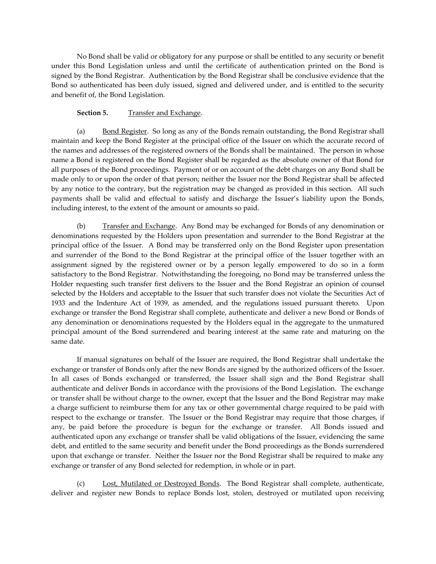No Bond shall be valid or obligatory for any purpose or shall be entitled to any security or benefit under this Bond Legislation unless and until the certificate of authentication printed on the Bond is signed by the Bond Registrar. Authentication by the Bond Registrar shall be conclusive evidence that the Bond so authenticated has been duly issued, signed and delivered under, and is entitled to the security and benefit of, the Bond Legislation.

#### **Section 5.** Transfer and Exchange.

(a) Bond Register. So long as any of the Bonds remain outstanding, the Bond Registrar shall maintain and keep the Bond Register at the principal office of the Issuer on which the accurate record of the names and addresses of the registered owners of the Bonds shall be maintained. The person in whose name a Bond is registered on the Bond Register shall be regarded as the absolute owner of that Bond for all purposes of the Bond proceedings. Payment of or on account of the debt charges on any Bond shall be made only to or upon the order of that person; neither the Issuer nor the Bond Registrar shall be affected by any notice to the contrary, but the registration may be changed as provided in this section. All such payments shall be valid and effectual to satisfy and discharge the Issuer's liability upon the Bonds, including interest, to the extent of the amount or amounts so paid.

(b) Transfer and Exchange. Any Bond may be exchanged for Bonds of any denomination or denominations requested by the Holders upon presentation and surrender to the Bond Registrar at the principal office of the Issuer. A Bond may be transferred only on the Bond Register upon presentation and surrender of the Bond to the Bond Registrar at the principal office of the Issuer together with an assignment signed by the registered owner or by a person legally empowered to do so in a form satisfactory to the Bond Registrar. Notwithstanding the foregoing, no Bond may be transferred unless the Holder requesting such transfer first delivers to the Issuer and the Bond Registrar an opinion of counsel selected by the Holders and acceptable to the Issuer that such transfer does not violate the Securities Act of 1933 and the Indenture Act of 1939, as amended, and the regulations issued pursuant thereto. Upon exchange or transfer the Bond Registrar shall complete, authenticate and deliver a new Bond or Bonds of any denomination or denominations requested by the Holders equal in the aggregate to the unmatured principal amount of the Bond surrendered and bearing interest at the same rate and maturing on the same date.

If manual signatures on behalf of the Issuer are required, the Bond Registrar shall undertake the exchange or transfer of Bonds only after the new Bonds are signed by the authorized officers of the Issuer. In all cases of Bonds exchanged or transferred, the Issuer shall sign and the Bond Registrar shall authenticate and deliver Bonds in accordance with the provisions of the Bond Legislation. The exchange or transfer shall be without charge to the owner, except that the Issuer and the Bond Registrar may make a charge sufficient to reimburse them for any tax or other governmental charge required to be paid with respect to the exchange or transfer. The Issuer or the Bond Registrar may require that those charges, if any, be paid before the procedure is begun for the exchange or transfer. All Bonds issued and authenticated upon any exchange or transfer shall be valid obligations of the Issuer, evidencing the same debt, and entitled to the same security and benefit under the Bond proceedings as the Bonds surrendered upon that exchange or transfer. Neither the Issuer nor the Bond Registrar shall be required to make any exchange or transfer of any Bond selected for redemption, in whole or in part.

(c) Lost, Mutilated or Destroyed Bonds. The Bond Registrar shall complete, authenticate, deliver and register new Bonds to replace Bonds lost, stolen, destroyed or mutilated upon receiving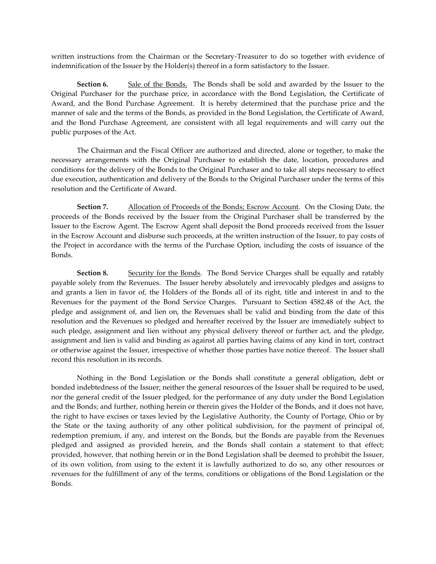written instructions from the Chairman or the Secretary-Treasurer to do so together with evidence of indemnification of the Issuer by the Holder(s) thereof in a form satisfactory to the Issuer.

**Section 6.** Sale of the Bonds. The Bonds shall be sold and awarded by the Issuer to the Original Purchaser for the purchase price, in accordance with the Bond Legislation, the Certificate of Award, and the Bond Purchase Agreement. It is hereby determined that the purchase price and the manner of sale and the terms of the Bonds, as provided in the Bond Legislation, the Certificate of Award, and the Bond Purchase Agreement, are consistent with all legal requirements and will carry out the public purposes of the Act.

The Chairman and the Fiscal Officer are authorized and directed, alone or together, to make the necessary arrangements with the Original Purchaser to establish the date, location, procedures and conditions for the delivery of the Bonds to the Original Purchaser and to take all steps necessary to effect due execution, authentication and delivery of the Bonds to the Original Purchaser under the terms of this resolution and the Certificate of Award.

**Section 7.** Allocation of Proceeds of the Bonds; Escrow Account. On the Closing Date, the proceeds of the Bonds received by the Issuer from the Original Purchaser shall be transferred by the Issuer to the Escrow Agent. The Escrow Agent shall deposit the Bond proceeds received from the Issuer in the Escrow Account and disburse such proceeds, at the written instruction of the Issuer, to pay costs of the Project in accordance with the terms of the Purchase Option, including the costs of issuance of the Bonds.

**Section 8.** Security for the Bonds. The Bond Service Charges shall be equally and ratably payable solely from the Revenues. The Issuer hereby absolutely and irrevocably pledges and assigns to and grants a lien in favor of, the Holders of the Bonds all of its right, title and interest in and to the Revenues for the payment of the Bond Service Charges. Pursuant to Section 4582.48 of the Act, the pledge and assignment of, and lien on, the Revenues shall be valid and binding from the date of this resolution and the Revenues so pledged and hereafter received by the Issuer are immediately subject to such pledge, assignment and lien without any physical delivery thereof or further act, and the pledge, assignment and lien is valid and binding as against all parties having claims of any kind in tort, contract or otherwise against the Issuer, irrespective of whether those parties have notice thereof. The Issuer shall record this resolution in its records.

Nothing in the Bond Legislation or the Bonds shall constitute a general obligation, debt or bonded indebtedness of the Issuer; neither the general resources of the Issuer shall be required to be used, nor the general credit of the Issuer pledged, for the performance of any duty under the Bond Legislation and the Bonds; and further, nothing herein or therein gives the Holder of the Bonds, and it does not have, the right to have excises or taxes levied by the Legislative Authority, the County of Portage, Ohio or by the State or the taxing authority of any other political subdivision, for the payment of principal of, redemption premium, if any, and interest on the Bonds, but the Bonds are payable from the Revenues pledged and assigned as provided herein, and the Bonds shall contain a statement to that effect; provided, however, that nothing herein or in the Bond Legislation shall be deemed to prohibit the Issuer, of its own volition, from using to the extent it is lawfully authorized to do so, any other resources or revenues for the fulfillment of any of the terms, conditions or obligations of the Bond Legislation or the Bonds.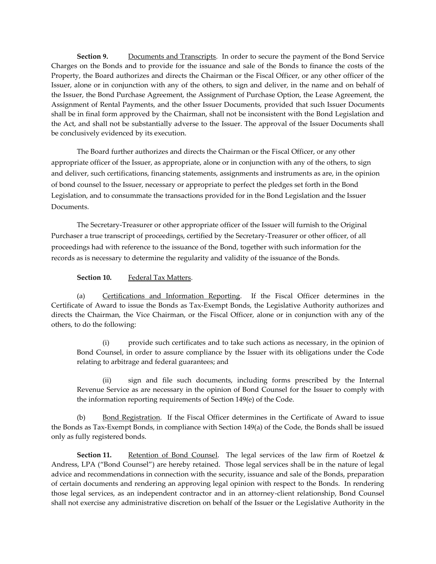**Section 9.** Documents and Transcripts. In order to secure the payment of the Bond Service Charges on the Bonds and to provide for the issuance and sale of the Bonds to finance the costs of the Property, the Board authorizes and directs the Chairman or the Fiscal Officer, or any other officer of the Issuer, alone or in conjunction with any of the others, to sign and deliver, in the name and on behalf of the Issuer, the Bond Purchase Agreement, the Assignment of Purchase Option, the Lease Agreement, the Assignment of Rental Payments, and the other Issuer Documents, provided that such Issuer Documents shall be in final form approved by the Chairman, shall not be inconsistent with the Bond Legislation and the Act, and shall not be substantially adverse to the Issuer. The approval of the Issuer Documents shall be conclusively evidenced by its execution.

The Board further authorizes and directs the Chairman or the Fiscal Officer, or any other appropriate officer of the Issuer, as appropriate, alone or in conjunction with any of the others, to sign and deliver, such certifications, financing statements, assignments and instruments as are, in the opinion of bond counsel to the Issuer, necessary or appropriate to perfect the pledges set forth in the Bond Legislation, and to consummate the transactions provided for in the Bond Legislation and the Issuer Documents.

The Secretary-Treasurer or other appropriate officer of the Issuer will furnish to the Original Purchaser a true transcript of proceedings, certified by the Secretary-Treasurer or other officer, of all proceedings had with reference to the issuance of the Bond, together with such information for the records as is necessary to determine the regularity and validity of the issuance of the Bonds.

#### **Section 10.** Federal Tax Matters.

(a) Certifications and Information Reporting. If the Fiscal Officer determines in the Certificate of Award to issue the Bonds as Tax-Exempt Bonds, the Legislative Authority authorizes and directs the Chairman, the Vice Chairman, or the Fiscal Officer, alone or in conjunction with any of the others, to do the following:

(i) provide such certificates and to take such actions as necessary, in the opinion of Bond Counsel, in order to assure compliance by the Issuer with its obligations under the Code relating to arbitrage and federal guarantees; and

(ii) sign and file such documents, including forms prescribed by the Internal Revenue Service as are necessary in the opinion of Bond Counsel for the Issuer to comply with the information reporting requirements of Section 149(e) of the Code.

(b) Bond Registration. If the Fiscal Officer determines in the Certificate of Award to issue the Bonds as Tax-Exempt Bonds, in compliance with Section 149(a) of the Code, the Bonds shall be issued only as fully registered bonds.

**Section 11.** Retention of Bond Counsel. The legal services of the law firm of Roetzel & Andress, LPA ("Bond Counsel") are hereby retained. Those legal services shall be in the nature of legal advice and recommendations in connection with the security, issuance and sale of the Bonds, preparation of certain documents and rendering an approving legal opinion with respect to the Bonds. In rendering those legal services, as an independent contractor and in an attorney-client relationship, Bond Counsel shall not exercise any administrative discretion on behalf of the Issuer or the Legislative Authority in the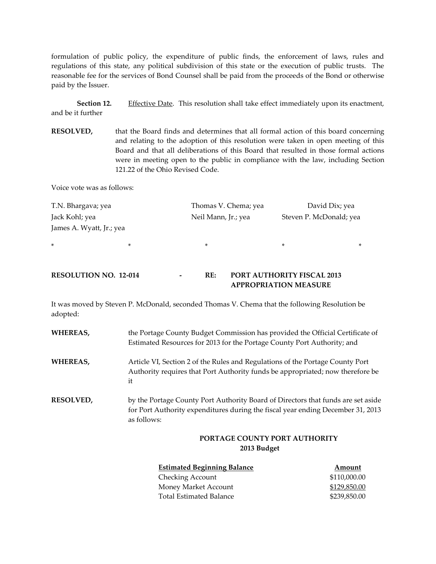formulation of public policy, the expenditure of public finds, the enforcement of laws, rules and regulations of this state, any political subdivision of this state or the execution of public trusts. The reasonable fee for the services of Bond Counsel shall be paid from the proceeds of the Bond or otherwise paid by the Issuer.

**Section 12.** Effective Date. This resolution shall take effect immediately upon its enactment, and be it further

**RESOLVED,** that the Board finds and determines that all formal action of this board concerning and relating to the adoption of this resolution were taken in open meeting of this Board and that all deliberations of this Board that resulted in those formal actions were in meeting open to the public in compliance with the law, including Section 121.22 of the Ohio Revised Code.

Voice vote was as follows:

| T.N. Bhargava; yea       | Thomas V. Chema; yea | David Dix; yea          |
|--------------------------|----------------------|-------------------------|
| Jack Kohl; yea           | Neil Mann, Jr.; yea  | Steven P. McDonald; yea |
| James A. Wyatt, Jr.; yea |                      |                         |
|                          |                      |                         |

\* \* \* \* \*

| <b>RESOLUTION NO. 12-014</b> |  | <b>PORT AUTHORITY FISCAL 2013</b> |
|------------------------------|--|-----------------------------------|
|                              |  | <b>APPROPRIATION MEASURE</b>      |

It was moved by Steven P. McDonald, seconded Thomas V. Chema that the following Resolution be adopted:

| WHEREAS,         | the Portage County Budget Commission has provided the Official Certificate of<br>Estimated Resources for 2013 for the Portage County Port Authority; and                           |
|------------------|------------------------------------------------------------------------------------------------------------------------------------------------------------------------------------|
| WHEREAS,         | Article VI, Section 2 of the Rules and Regulations of the Portage County Port<br>Authority requires that Port Authority funds be appropriated; now therefore be<br>it              |
| <b>RESOLVED,</b> | by the Portage County Port Authority Board of Directors that funds are set aside<br>for Port Authority expenditures during the fiscal year ending December 31, 2013<br>as follows: |
|                  | PORTAGE COUNTY PORT AUTHORITY                                                                                                                                                      |

#### **2013 Budget**

| <b>Estimated Beginning Balance</b> | Amount       |
|------------------------------------|--------------|
| Checking Account                   | \$110,000.00 |
| Money Market Account               | \$129,850.00 |
| Total Estimated Balance            | \$239,850.00 |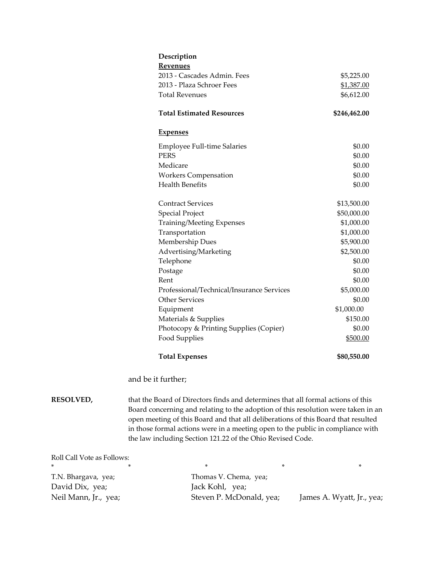|                            | Description                                                                                                                                                                                                                                                                                                             |              |  |
|----------------------------|-------------------------------------------------------------------------------------------------------------------------------------------------------------------------------------------------------------------------------------------------------------------------------------------------------------------------|--------------|--|
|                            | <b>Revenues</b><br>2013 - Cascades Admin. Fees                                                                                                                                                                                                                                                                          | \$5,225.00   |  |
|                            | 2013 - Plaza Schroer Fees                                                                                                                                                                                                                                                                                               | \$1,387.00   |  |
|                            | <b>Total Revenues</b>                                                                                                                                                                                                                                                                                                   | \$6,612.00   |  |
|                            |                                                                                                                                                                                                                                                                                                                         |              |  |
|                            | <b>Total Estimated Resources</b>                                                                                                                                                                                                                                                                                        | \$246,462.00 |  |
|                            | <b>Expenses</b>                                                                                                                                                                                                                                                                                                         |              |  |
|                            | Employee Full-time Salaries                                                                                                                                                                                                                                                                                             | \$0.00       |  |
|                            | <b>PERS</b>                                                                                                                                                                                                                                                                                                             | \$0.00       |  |
|                            | Medicare                                                                                                                                                                                                                                                                                                                | \$0.00       |  |
|                            | <b>Workers Compensation</b>                                                                                                                                                                                                                                                                                             | \$0.00       |  |
|                            | <b>Health Benefits</b>                                                                                                                                                                                                                                                                                                  | \$0.00       |  |
|                            | <b>Contract Services</b>                                                                                                                                                                                                                                                                                                | \$13,500.00  |  |
|                            | <b>Special Project</b>                                                                                                                                                                                                                                                                                                  | \$50,000.00  |  |
|                            | <b>Training/Meeting Expenses</b>                                                                                                                                                                                                                                                                                        | \$1,000.00   |  |
|                            | Transportation                                                                                                                                                                                                                                                                                                          | \$1,000.00   |  |
|                            | Membership Dues                                                                                                                                                                                                                                                                                                         | \$5,900.00   |  |
|                            | Advertising/Marketing                                                                                                                                                                                                                                                                                                   | \$2,500.00   |  |
|                            | Telephone                                                                                                                                                                                                                                                                                                               | \$0.00       |  |
|                            | Postage                                                                                                                                                                                                                                                                                                                 | \$0.00       |  |
|                            | Rent                                                                                                                                                                                                                                                                                                                    | \$0.00       |  |
|                            | Professional/Technical/Insurance Services                                                                                                                                                                                                                                                                               | \$5,000.00   |  |
|                            | <b>Other Services</b>                                                                                                                                                                                                                                                                                                   | \$0.00       |  |
|                            | Equipment                                                                                                                                                                                                                                                                                                               | \$1,000.00   |  |
|                            | Materials & Supplies                                                                                                                                                                                                                                                                                                    | \$150.00     |  |
|                            | Photocopy & Printing Supplies (Copier)                                                                                                                                                                                                                                                                                  | \$0.00       |  |
|                            | Food Supplies                                                                                                                                                                                                                                                                                                           | \$500.00     |  |
|                            | <b>Total Expenses</b>                                                                                                                                                                                                                                                                                                   | \$80,550.00  |  |
|                            | and be it further;                                                                                                                                                                                                                                                                                                      |              |  |
| <b>RESOLVED,</b>           | that the Board of Directors finds and determines that all formal actions of this                                                                                                                                                                                                                                        |              |  |
|                            | Board concerning and relating to the adoption of this resolution were taken in an<br>open meeting of this Board and that all deliberations of this Board that resulted<br>in those formal actions were in a meeting open to the public in compliance with<br>the law including Section 121.22 of the Ohio Revised Code. |              |  |
| Roll Call Vote as Follows: |                                                                                                                                                                                                                                                                                                                         |              |  |

| $\ast$               |  |                          | ×                         |  |
|----------------------|--|--------------------------|---------------------------|--|
| T.N. Bhargava, yea;  |  | Thomas V. Chema, yea;    |                           |  |
| David Dix, yea;      |  | Jack Kohl, yea;          |                           |  |
| Neil Mann, Jr., yea; |  | Steven P. McDonald, yea; | James A. Wyatt, Jr., yea; |  |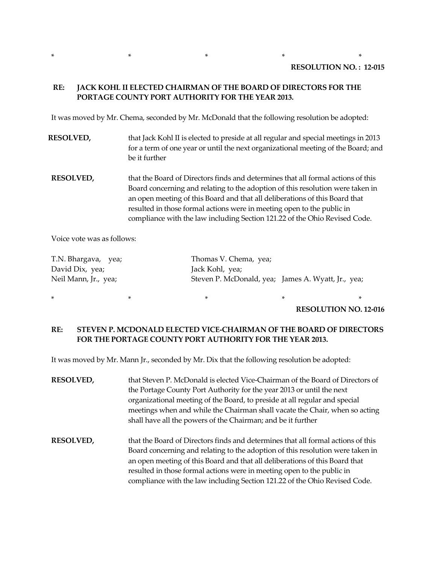\* \* \* \* \*

#### **RESOLUTION NO. : 12-015**

## **RE: JACK KOHL II ELECTED CHAIRMAN OF THE BOARD OF DIRECTORS FOR THE PORTAGE COUNTY PORT AUTHORITY FOR THE YEAR 2013.**

It was moved by Mr. Chema, seconded by Mr. McDonald that the following resolution be adopted:

- **RESOLVED,** that Jack Kohl II is elected to preside at all regular and special meetings in 2013 for a term of one year or until the next organizational meeting of the Board; and be it further
- **RESOLVED,** that the Board of Directors finds and determines that all formal actions of this Board concerning and relating to the adoption of this resolution were taken in an open meeting of this Board and that all deliberations of this Board that resulted in those formal actions were in meeting open to the public in compliance with the law including Section 121.22 of the Ohio Revised Code.

Voice vote was as follows:

| T.N. Bhargava, yea;  | Thomas V. Chema, yea;                              |
|----------------------|----------------------------------------------------|
| David Dix, yea;      | Jack Kohl, yea;                                    |
| Neil Mann, Jr., yea; | Steven P. McDonald, yea; James A. Wyatt, Jr., yea; |

\* \* \* \* \*

**RESOLUTION NO. 12-016**

# **RE: STEVEN P. MCDONALD ELECTED VICE-CHAIRMAN OF THE BOARD OF DIRECTORS FOR THE PORTAGE COUNTY PORT AUTHORITY FOR THE YEAR 2013.**

It was moved by Mr. Mann Jr., seconded by Mr. Dix that the following resolution be adopted:

- **RESOLVED,** that Steven P. McDonald is elected Vice-Chairman of the Board of Directors of the Portage County Port Authority for the year 2013 or until the next organizational meeting of the Board, to preside at all regular and special meetings when and while the Chairman shall vacate the Chair, when so acting shall have all the powers of the Chairman; and be it further
- **RESOLVED,** that the Board of Directors finds and determines that all formal actions of this Board concerning and relating to the adoption of this resolution were taken in an open meeting of this Board and that all deliberations of this Board that resulted in those formal actions were in meeting open to the public in compliance with the law including Section 121.22 of the Ohio Revised Code.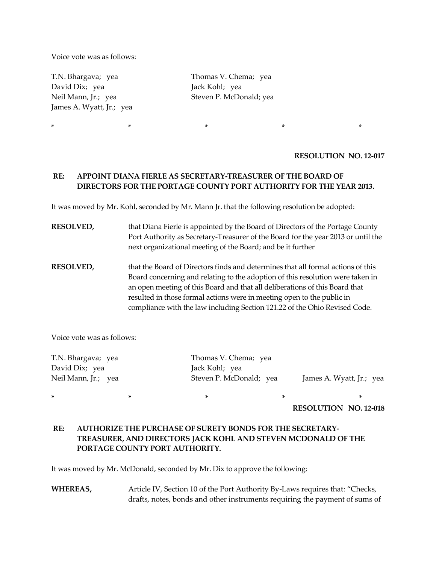Voice vote was as follows:

David Dix; yea Jack Kohl; yea James A. Wyatt, Jr.; yea

T.N. Bhargava; yea Thomas V. Chema; yea Neil Mann, Jr.; yea Steven P. McDonald; yea

#### **RESOLUTION NO. 12-017**

# **RE: APPOINT DIANA FIERLE AS SECRETARY-TREASURER OF THE BOARD OF DIRECTORS FOR THE PORTAGE COUNTY PORT AUTHORITY FOR THE YEAR 2013.**

\* \* \* \* \*

It was moved by Mr. Kohl, seconded by Mr. Mann Jr. that the following resolution be adopted:

- **RESOLVED,** that Diana Fierle is appointed by the Board of Directors of the Portage County Port Authority as Secretary-Treasurer of the Board for the year 2013 or until the next organizational meeting of the Board; and be it further
- **RESOLVED,** that the Board of Directors finds and determines that all formal actions of this Board concerning and relating to the adoption of this resolution were taken in an open meeting of this Board and that all deliberations of this Board that resulted in those formal actions were in meeting open to the public in compliance with the law including Section 121.22 of the Ohio Revised Code.

Voice vote was as follows:

T.N. Bhargava; yea Thomas V. Chema; yea David Dix; yea Jack Kohl; yea Neil Mann, Jr.; yea Steven P. McDonald; yea James A. Wyatt, Jr.; yea

**RESOLUTION NO. 12-018**

# **RE: AUTHORIZE THE PURCHASE OF SURETY BONDS FOR THE SECRETARY-TREASURER, AND DIRECTORS JACK KOHL AND STEVEN MCDONALD OF THE PORTAGE COUNTY PORT AUTHORITY.**

\* \* \* \* \*

It was moved by Mr. McDonald, seconded by Mr. Dix to approve the following:

**WHEREAS,** Article IV, Section 10 of the Port Authority By-Laws requires that: "Checks, drafts, notes, bonds and other instruments requiring the payment of sums of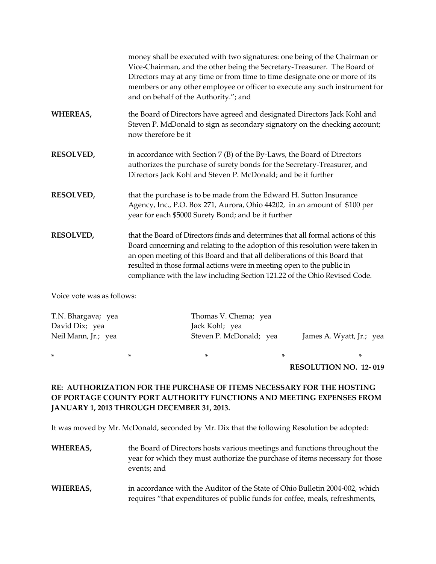money shall be executed with two signatures: one being of the Chairman or Vice-Chairman, and the other being the Secretary-Treasurer. The Board of Directors may at any time or from time to time designate one or more of its members or any other employee or officer to execute any such instrument for and on behalf of the Authority."; and

- **WHEREAS,** the Board of Directors have agreed and designated Directors Jack Kohl and Steven P. McDonald to sign as secondary signatory on the checking account; now therefore be it
- **RESOLVED,** in accordance with Section 7 (B) of the By-Laws, the Board of Directors authorizes the purchase of surety bonds for the Secretary-Treasurer, and Directors Jack Kohl and Steven P. McDonald; and be it further
- **RESOLVED,** that the purchase is to be made from the Edward H. Sutton Insurance Agency, Inc., P.O. Box 271, Aurora, Ohio 44202, in an amount of \$100 per year for each \$5000 Surety Bond; and be it further
- **RESOLVED,** that the Board of Directors finds and determines that all formal actions of this Board concerning and relating to the adoption of this resolution were taken in an open meeting of this Board and that all deliberations of this Board that resulted in those formal actions were in meeting open to the public in compliance with the law including Section 121.22 of the Ohio Revised Code.

Voice vote was as follows:

| T.N. Bhargava; yea  | Thomas V. Chema; yea    |                          |
|---------------------|-------------------------|--------------------------|
| David Dix; yea      | Jack Kohl; yea          |                          |
| Neil Mann, Jr.; yea | Steven P. McDonald; yea | James A. Wyatt, Jr.; yea |
|                     |                         |                          |

\* \* \* \* \*

 **RESOLUTION NO. 12- 019**

# **RE: AUTHORIZATION FOR THE PURCHASE OF ITEMS NECESSARY FOR THE HOSTING OF PORTAGE COUNTY PORT AUTHORITY FUNCTIONS AND MEETING EXPENSES FROM JANUARY 1, 2013 THROUGH DECEMBER 31, 2013.**

It was moved by Mr. McDonald, seconded by Mr. Dix that the following Resolution be adopted:

- **WHEREAS,** the Board of Directors hosts various meetings and functions throughout the year for which they must authorize the purchase of items necessary for those events; and
- **WHEREAS,** in accordance with the Auditor of the State of Ohio Bulletin 2004-002, which requires "that expenditures of public funds for coffee, meals, refreshments,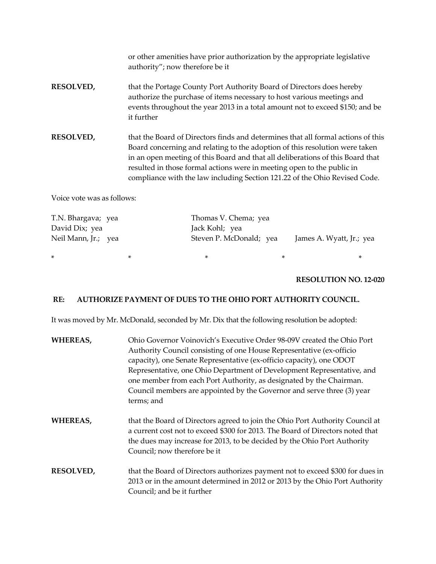or other amenities have prior authorization by the appropriate legislative authority"; now therefore be it **RESOLVED,** that the Portage County Port Authority Board of Directors does hereby authorize the purchase of items necessary to host various meetings and events throughout the year 2013 in a total amount not to exceed \$150; and be it further **RESOLVED,** that the Board of Directors finds and determines that all formal actions of this Board concerning and relating to the adoption of this resolution were taken in an open meeting of this Board and that all deliberations of this Board that resulted in those formal actions were in meeting open to the public in compliance with the law including Section 121.22 of the Ohio Revised Code. Voice vote was as follows:

| T.N. Bhargava; yea  |   | Thomas V. Chema; yea    |   |                          |
|---------------------|---|-------------------------|---|--------------------------|
| David Dix; yea      |   | Jack Kohl; yea          |   |                          |
| Neil Mann, Jr.; yea |   | Steven P. McDonald; yea |   | James A. Wyatt, Jr.; yea |
| $\ast$              | ∗ | ∗                       | * | ∗                        |

## **RESOLUTION NO. 12-020**

### **RE: AUTHORIZE PAYMENT OF DUES TO THE OHIO PORT AUTHORITY COUNCIL.**

It was moved by Mr. McDonald, seconded by Mr. Dix that the following resolution be adopted:

| WHEREAS,         | Ohio Governor Voinovich's Executive Order 98-09V created the Ohio Port<br>Authority Council consisting of one House Representative (ex-officio<br>capacity), one Senate Representative (ex-officio capacity), one ODOT<br>Representative, one Ohio Department of Development Representative, and<br>one member from each Port Authority, as designated by the Chairman.<br>Council members are appointed by the Governor and serve three (3) year<br>terms; and |
|------------------|-----------------------------------------------------------------------------------------------------------------------------------------------------------------------------------------------------------------------------------------------------------------------------------------------------------------------------------------------------------------------------------------------------------------------------------------------------------------|
| WHEREAS,         | that the Board of Directors agreed to join the Ohio Port Authority Council at<br>a current cost not to exceed \$300 for 2013. The Board of Directors noted that<br>the dues may increase for 2013, to be decided by the Ohio Port Authority<br>Council; now therefore be it                                                                                                                                                                                     |
| <b>RESOLVED,</b> | that the Board of Directors authorizes payment not to exceed \$300 for dues in<br>2013 or in the amount determined in 2012 or 2013 by the Ohio Port Authority<br>Council; and be it further                                                                                                                                                                                                                                                                     |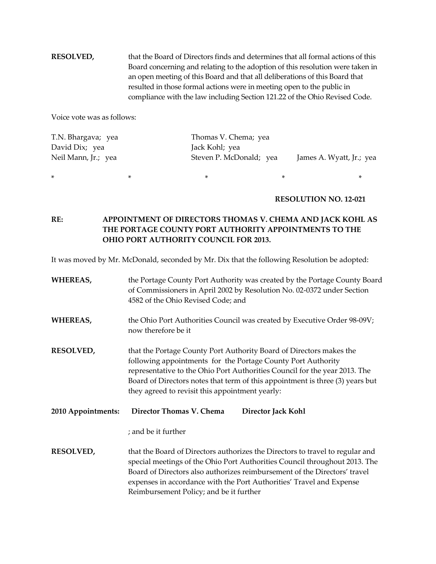# **RESOLVED,** that the Board of Directors finds and determines that all formal actions of this Board concerning and relating to the adoption of this resolution were taken in an open meeting of this Board and that all deliberations of this Board that resulted in those formal actions were in meeting open to the public in compliance with the law including Section 121.22 of the Ohio Revised Code.

Voice vote was as follows:

| T.N. Bhargava; yea  | Thomas V. Chema; yea    |                          |
|---------------------|-------------------------|--------------------------|
| David Dix; yea      | Jack Kohl; yea          |                          |
| Neil Mann, Jr.; yea | Steven P. McDonald; yea | James A. Wyatt, Jr.; yea |

\* \* \* \* \*

**RESOLUTION NO. 12-021**

# **RE: APPOINTMENT OF DIRECTORS THOMAS V. CHEMA AND JACK KOHL AS THE PORTAGE COUNTY PORT AUTHORITY APPOINTMENTS TO THE OHIO PORT AUTHORITY COUNCIL FOR 2013.**

It was moved by Mr. McDonald, seconded by Mr. Dix that the following Resolution be adopted:

| <b>WHEREAS,</b>    | the Portage County Port Authority was created by the Portage County Board<br>of Commissioners in April 2002 by Resolution No. 02-0372 under Section<br>4582 of the Ohio Revised Code; and                                                                                                                                                                   |  |  |
|--------------------|-------------------------------------------------------------------------------------------------------------------------------------------------------------------------------------------------------------------------------------------------------------------------------------------------------------------------------------------------------------|--|--|
| <b>WHEREAS,</b>    | the Ohio Port Authorities Council was created by Executive Order 98-09V;<br>now therefore be it                                                                                                                                                                                                                                                             |  |  |
| <b>RESOLVED,</b>   | that the Portage County Port Authority Board of Directors makes the<br>following appointments for the Portage County Port Authority<br>representative to the Ohio Port Authorities Council for the year 2013. The<br>Board of Directors notes that term of this appointment is three (3) years but<br>they agreed to revisit this appointment yearly:       |  |  |
| 2010 Appointments: | Director Thomas V. Chema<br>Director Jack Kohl                                                                                                                                                                                                                                                                                                              |  |  |
|                    | ; and be it further                                                                                                                                                                                                                                                                                                                                         |  |  |
| <b>RESOLVED,</b>   | that the Board of Directors authorizes the Directors to travel to regular and<br>special meetings of the Ohio Port Authorities Council throughout 2013. The<br>Board of Directors also authorizes reimbursement of the Directors' travel<br>expenses in accordance with the Port Authorities' Travel and Expense<br>Reimbursement Policy; and be it further |  |  |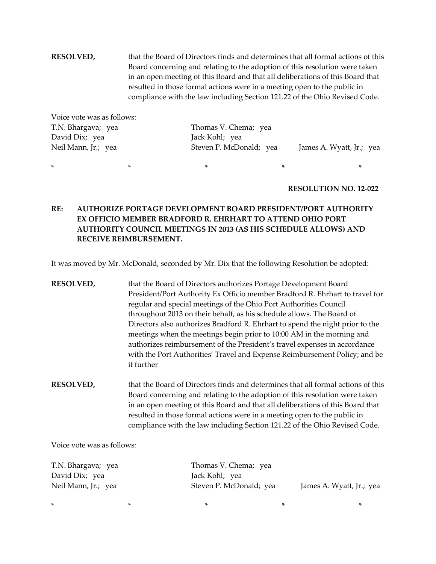**RESOLVED,** that the Board of Directors finds and determines that all formal actions of this Board concerning and relating to the adoption of this resolution were taken in an open meeting of this Board and that all deliberations of this Board that resulted in those formal actions were in a meeting open to the public in compliance with the law including Section 121.22 of the Ohio Revised Code.

| Voice vote was as follows: |                         |                          |
|----------------------------|-------------------------|--------------------------|
| T.N. Bhargava; yea         | Thomas V. Chema; yea    |                          |
| David Dix; yea             | Jack Kohl; yea          |                          |
| Neil Mann, Jr.; yea        | Steven P. McDonald; yea | James A. Wyatt, Jr.; yea |
|                            |                         |                          |

\* \* \* \* \*

#### **RESOLUTION NO. 12-022**

# **RE: AUTHORIZE PORTAGE DEVELOPMENT BOARD PRESIDENT/PORT AUTHORITY EX OFFICIO MEMBER BRADFORD R. EHRHART TO ATTEND OHIO PORT AUTHORITY COUNCIL MEETINGS IN 2013 (AS HIS SCHEDULE ALLOWS) AND RECEIVE REIMBURSEMENT.**

It was moved by Mr. McDonald, seconded by Mr. Dix that the following Resolution be adopted:

| <b>RESOLVED,</b> | that the Board of Directors authorizes Portage Development Board              |
|------------------|-------------------------------------------------------------------------------|
|                  | President/Port Authority Ex Officio member Bradford R. Ehrhart to travel for  |
|                  | regular and special meetings of the Ohio Port Authorities Council             |
|                  | throughout 2013 on their behalf, as his schedule allows. The Board of         |
|                  | Directors also authorizes Bradford R. Ehrhart to spend the night prior to the |
|                  | meetings when the meetings begin prior to 10:00 AM in the morning and         |
|                  | authorizes reimbursement of the President's travel expenses in accordance     |
|                  | with the Port Authorities' Travel and Expense Reimbursement Policy; and be    |
|                  | it further                                                                    |

**RESOLVED,** that the Board of Directors finds and determines that all formal actions of this Board concerning and relating to the adoption of this resolution were taken in an open meeting of this Board and that all deliberations of this Board that resulted in those formal actions were in a meeting open to the public in compliance with the law including Section 121.22 of the Ohio Revised Code.

Voice vote was as follows:

| T.N. Bhargava; yea  | Thomas V. Chema; yea    |                          |
|---------------------|-------------------------|--------------------------|
| David Dix; yea      | Jack Kohl; yea          |                          |
| Neil Mann, Jr.; yea | Steven P. McDonald; yea | James A. Wyatt, Jr.; yea |

\* \* \* \* \*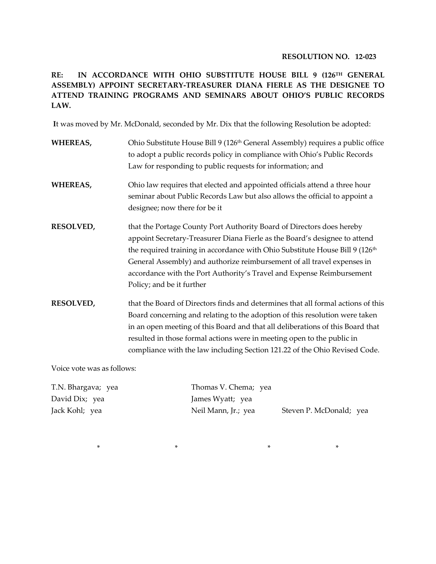### **RESOLUTION NO. 12-023**

# **RE: IN ACCORDANCE WITH OHIO SUBSTITUTE HOUSE BILL 9 (126TH GENERAL ASSEMBLY) APPOINT SECRETARY-TREASURER DIANA FIERLE AS THE DESIGNEE TO ATTEND TRAINING PROGRAMS AND SEMINARS ABOUT OHIO'S PUBLIC RECORDS LAW.**

**I**t was moved by Mr. McDonald, seconded by Mr. Dix that the following Resolution be adopted:

| Ohio Substitute House Bill 9 (126 <sup>th</sup> General Assembly) requires a public office<br>to adopt a public records policy in compliance with Ohio's Public Records<br>Law for responding to public requests for information; and                                                                                                                                                                                              |
|------------------------------------------------------------------------------------------------------------------------------------------------------------------------------------------------------------------------------------------------------------------------------------------------------------------------------------------------------------------------------------------------------------------------------------|
| Ohio law requires that elected and appointed officials attend a three hour<br>seminar about Public Records Law but also allows the official to appoint a<br>designee; now there for be it                                                                                                                                                                                                                                          |
| that the Portage County Port Authority Board of Directors does hereby<br>appoint Secretary-Treasurer Diana Fierle as the Board's designee to attend<br>the required training in accordance with Ohio Substitute House Bill 9 (126 <sup>th</sup> )<br>General Assembly) and authorize reimbursement of all travel expenses in<br>accordance with the Port Authority's Travel and Expense Reimbursement<br>Policy; and be it further |
| that the Board of Directors finds and determines that all formal actions of this<br>Board concerning and relating to the adoption of this resolution were taken<br>in an open meeting of this Board and that all deliberations of this Board that<br>resulted in those formal actions were in meeting open to the public in<br>compliance with the law including Section 121.22 of the Ohio Revised Code.                          |
|                                                                                                                                                                                                                                                                                                                                                                                                                                    |

Voice vote was as follows:

David Dix; yea James Wyatt; yea

T.N. Bhargava; yea Thomas V. Chema; yea Jack Kohl; yea Neil Mann, Jr.; yea Steven P. McDonald; yea

 $\ast$  \*  $\ast$  \*  $\ast$  \*  $\ast$  \*